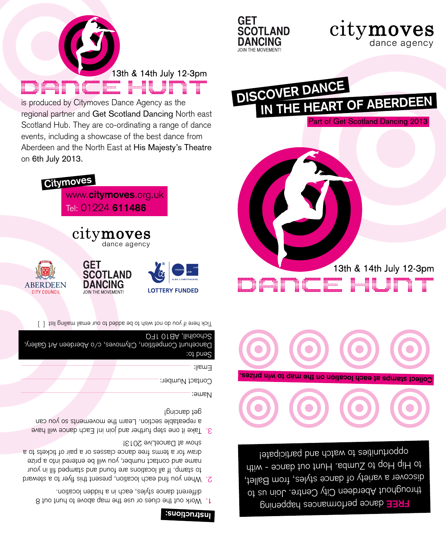## **Instructions:**

- Work out the clues or use the map above to hunt out 8 1. different dance styles, each in a hidden location.
- When you find each location, present this flyer to a steward 2. to stamp. If all locations are found and stamped fill in your name and contact number, you will be entered into a prize draw for a terms free dance classes or a pair of tickets to a show at DanceLive 2013!
- S. Iake it one step turther and join in! Each dance will have a repeatable section. Learn the movements so you can det gauciud<sub>i</sub>

Name:

Contact Number:

**LOTTERY FUNDED** 

Email:

Send to: Dancehunt Competition, Citymoves, c/o Aberdeen Art Gallery, Schoolhill, AB10 1FQ

[ ] Tick here if you do not wish to be added to our email mailing list

dance agency





www.**citymoves**.org.uk Tel: 01224 **611486 Citymoves**

citymoves

**SCOTLAND DANCING** 

JOIN THE MOVEMENT

**GET** 

Dance Hunt is produced by Citymoves Dance Agency as the regional partner and Get Scotland Dancing North east Scotland Hub. They are co-ordinating a range of dance events, including a showcase of the best dance from Aberdeen and the North East at His Majesty's Theatre on 6th July 2013.



DISCOVER DANCE



**Collect stamps at each location on the map to win prizes.**



IN THE HEART OF ABERDEEN



Part of Get Scotland Dancing 2013